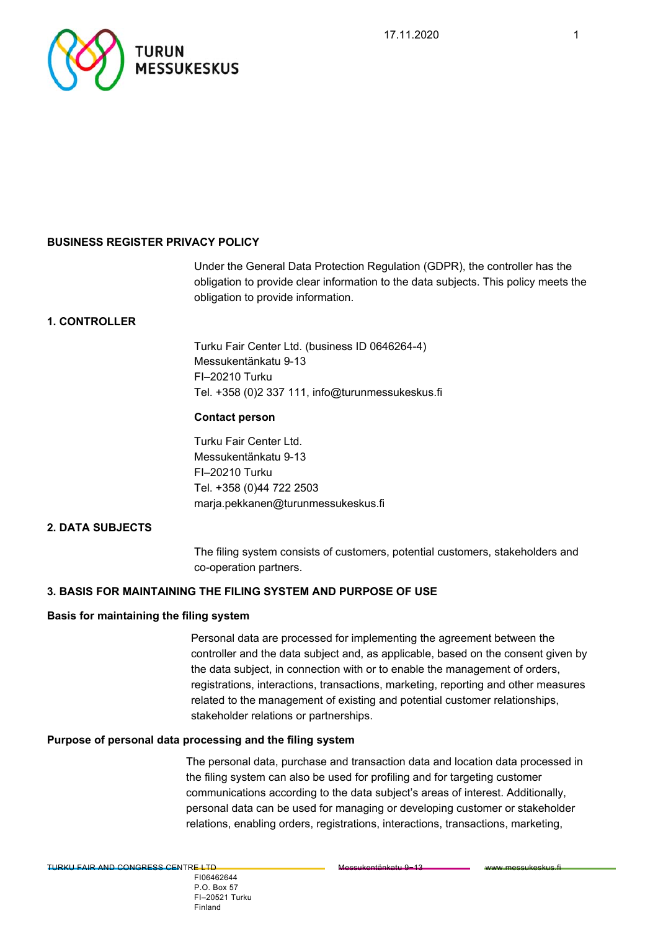

# **BUSINESS REGISTER PRIVACY POLICY**

Under the General Data Protection Regulation (GDPR), the controller has the obligation to provide clear information to the data subjects. This policy meets the obligation to provide information.

# **1. CONTROLLER**

Turku Fair Center Ltd. (business ID 0646264-4) Messukentänkatu 9-13 FI–20210 Turku Tel. +358 (0)2 337 111, info@turunmessukeskus.fi

### **Contact person**

Turku Fair Center Ltd. Messukentänkatu 9-13 FI–20210 Turku Tel. +358 (0)44 722 2503 marja.pekkanen@turunmessukeskus.fi

# **2. DATA SUBJECTS**

The filing system consists of customers, potential customers, stakeholders and co-operation partners.

# **3. BASIS FOR MAINTAINING THE FILING SYSTEM AND PURPOSE OF USE**

### **Basis for maintaining the filing system**

Personal data are processed for implementing the agreement between the controller and the data subject and, as applicable, based on the consent given by the data subject, in connection with or to enable the management of orders, registrations, interactions, transactions, marketing, reporting and other measures related to the management of existing and potential customer relationships, stakeholder relations or partnerships.

### **Purpose of personal data processing and the filing system**

The personal data, purchase and transaction data and location data processed in the filing system can also be used for profiling and for targeting customer communications according to the data subject's areas of interest. Additionally, personal data can be used for managing or developing customer or stakeholder relations, enabling orders, registrations, interactions, transactions, marketing,

 FI06462644 P.O. Box 57 FI–20521 Turku Finland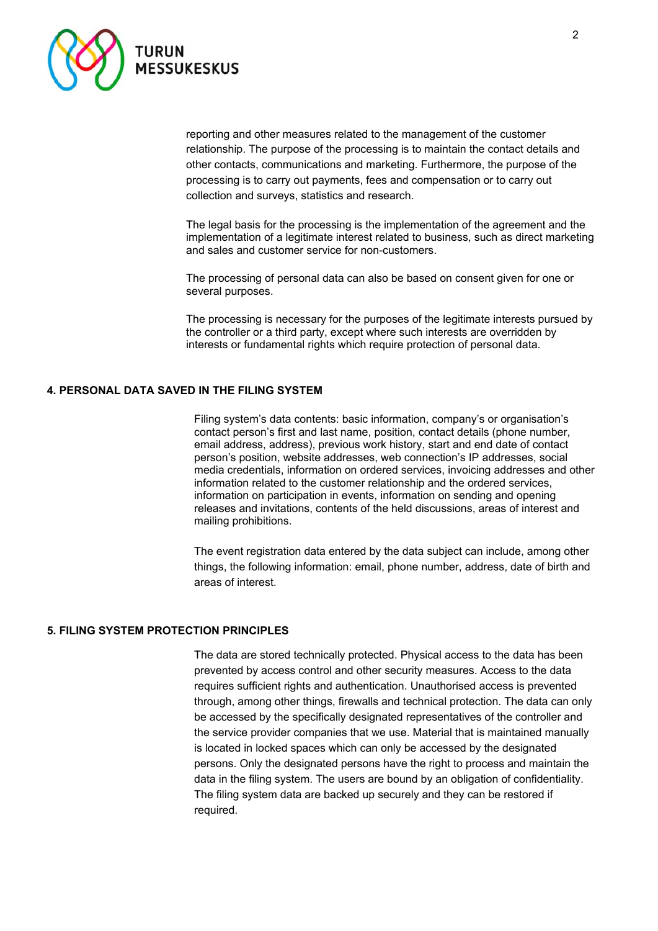

reporting and other measures related to the management of the customer relationship. The purpose of the processing is to maintain the contact details and other contacts, communications and marketing. Furthermore, the purpose of the processing is to carry out payments, fees and compensation or to carry out collection and surveys, statistics and research.

The legal basis for the processing is the implementation of the agreement and the implementation of a legitimate interest related to business, such as direct marketing and sales and customer service for non-customers.

The processing of personal data can also be based on consent given for one or several purposes.

The processing is necessary for the purposes of the legitimate interests pursued by the controller or a third party, except where such interests are overridden by interests or fundamental rights which require protection of personal data.

### **4. PERSONAL DATA SAVED IN THE FILING SYSTEM**

Filing system's data contents: basic information, company's or organisation's contact person's first and last name, position, contact details (phone number, email address, address), previous work history, start and end date of contact person's position, website addresses, web connection's IP addresses, social media credentials, information on ordered services, invoicing addresses and other information related to the customer relationship and the ordered services, information on participation in events, information on sending and opening releases and invitations, contents of the held discussions, areas of interest and mailing prohibitions.

The event registration data entered by the data subject can include, among other things, the following information: email, phone number, address, date of birth and areas of interest.

#### **5. FILING SYSTEM PROTECTION PRINCIPLES**

The data are stored technically protected. Physical access to the data has been prevented by access control and other security measures. Access to the data requires sufficient rights and authentication. Unauthorised access is prevented through, among other things, firewalls and technical protection. The data can only be accessed by the specifically designated representatives of the controller and the service provider companies that we use. Material that is maintained manually is located in locked spaces which can only be accessed by the designated persons. Only the designated persons have the right to process and maintain the data in the filing system. The users are bound by an obligation of confidentiality. The filing system data are backed up securely and they can be restored if required.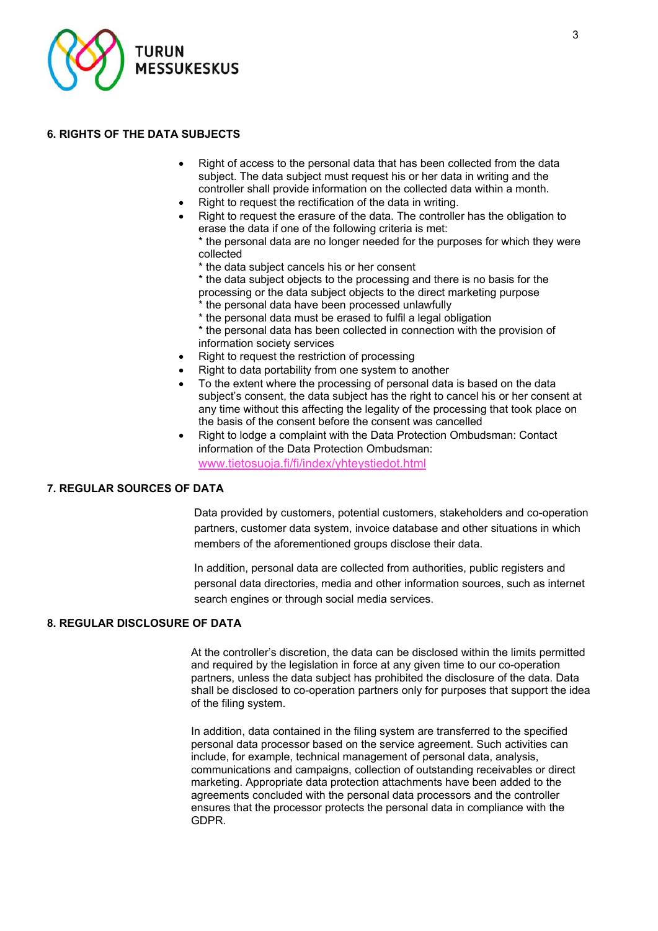

# **6. RIGHTS OF THE DATA SUBJECTS**

- Right of access to the personal data that has been collected from the data subject. The data subject must request his or her data in writing and the controller shall provide information on the collected data within a month.
- Right to request the rectification of the data in writing.
- Right to request the erasure of the data. The controller has the obligation to erase the data if one of the following criteria is met:
	- \* the personal data are no longer needed for the purposes for which they were collected
	- \* the data subject cancels his or her consent
	- \* the data subject objects to the processing and there is no basis for the processing or the data subject objects to the direct marketing purpose
	- \* the personal data have been processed unlawfully
	- \* the personal data must be erased to fulfil a legal obligation \* the personal data has been collected in connection with the provision of information society services
- Right to request the restriction of processing
- Right to data portability from one system to another
- To the extent where the processing of personal data is based on the data subject's consent, the data subject has the right to cancel his or her consent at any time without this affecting the legality of the processing that took place on the basis of the consent before the consent was cancelled
- Right to lodge a complaint with the Data Protection Ombudsman: Contact information of the Data Protection Ombudsman: www.tietosuoja.fi/fi/index/yhteystiedot.html

# **7. REGULAR SOURCES OF DATA**

Data provided by customers, potential customers, stakeholders and co-operation partners, customer data system, invoice database and other situations in which members of the aforementioned groups disclose their data.

In addition, personal data are collected from authorities, public registers and personal data directories, media and other information sources, such as internet search engines or through social media services.

# **8. REGULAR DISCLOSURE OF DATA**

At the controller's discretion, the data can be disclosed within the limits permitted and required by the legislation in force at any given time to our co-operation partners, unless the data subject has prohibited the disclosure of the data. Data shall be disclosed to co-operation partners only for purposes that support the idea of the filing system.

In addition, data contained in the filing system are transferred to the specified personal data processor based on the service agreement. Such activities can include, for example, technical management of personal data, analysis, communications and campaigns, collection of outstanding receivables or direct marketing. Appropriate data protection attachments have been added to the agreements concluded with the personal data processors and the controller ensures that the processor protects the personal data in compliance with the GDPR.